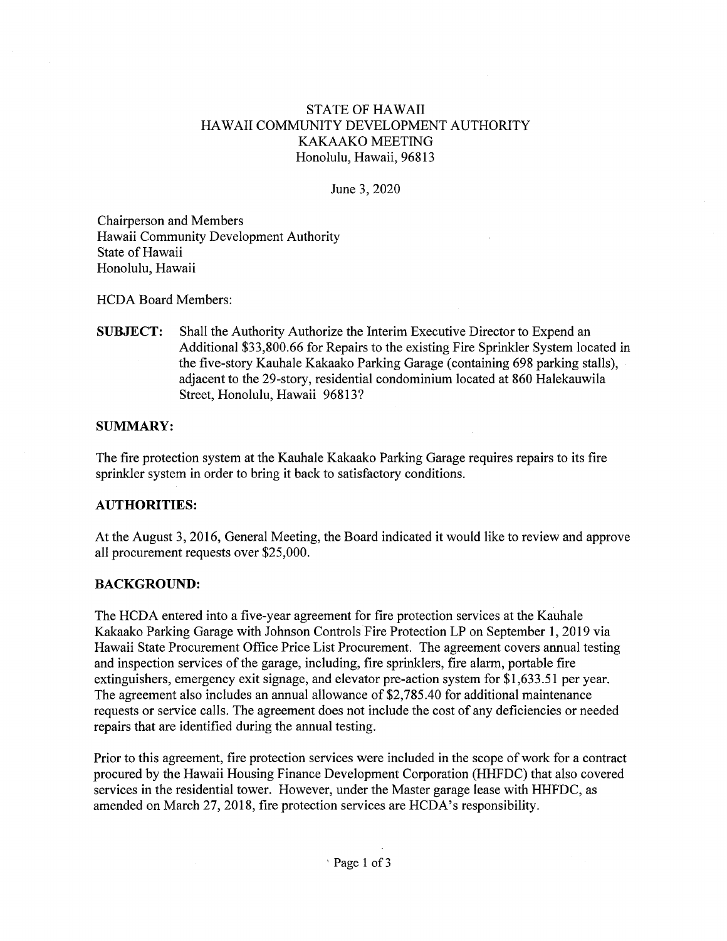### **STATE OF HAWAII** HAWAII COMMUNITY DEVELOPMENT AUTHORITY KAKAAKO MEETING Honolulu, Hawaii, 96813

### June 3, 2020

Chairperson and Members Hawaii Community Development Authority State of Hawaii Honolulu, Hawaii

**HCDA Board Members:** 

**SUBJECT:** Shall the Authority Authorize the Interim Executive Director to Expend an Additional \$33,800.66 for Repairs to the existing Fire Sprinkler System located in the five-story Kauhale Kakaako Parking Garage (containing 698 parking stalls), adjacent to the 29-story, residential condominium located at 860 Halekauwila Street, Honolulu, Hawaii 96813?

### **SUMMARY:**

The fire protection system at the Kauhale Kakaako Parking Garage requires repairs to its fire sprinkler system in order to bring it back to satisfactory conditions.

### **AUTHORITIES:**

At the August 3, 2016, General Meeting, the Board indicated it would like to review and approve all procurement requests over \$25,000.

### **BACKGROUND:**

The HCDA entered into a five-year agreement for fire protection services at the Kauhale Kakaako Parking Garage with Johnson Controls Fire Protection LP on September 1, 2019 via Hawaii State Procurement Office Price List Procurement. The agreement covers annual testing and inspection services of the garage, including, fire sprinklers, fire alarm, portable fire extinguishers, emergency exit signage, and elevator pre-action system for \$1,633.51 per year. The agreement also includes an annual allowance of \$2,785.40 for additional maintenance requests or service calls. The agreement does not include the cost of any deficiencies or needed repairs that are identified during the annual testing.

Prior to this agreement, fire protection services were included in the scope of work for a contract procured by the Hawaii Housing Finance Development Corporation (HHFDC) that also covered services in the residential tower. However, under the Master garage lease with HHFDC, as amended on March 27, 2018, fire protection services are HCDA's responsibility.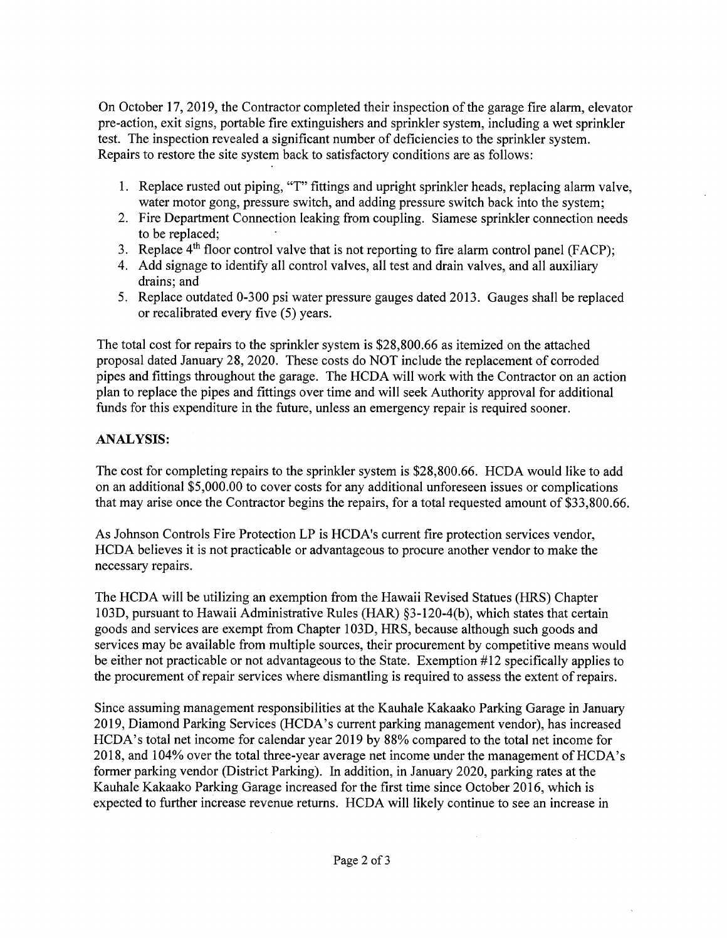On October 17, 2019, the Contractor completed their inspection of the garage fire alarm, elevator pre-action, exit signs, portable fire extinguishers and sprinkler system, including a wet sprinkler test. The inspection revealed a significant number of deficiencies to the sprinkler system. Repairs to restore the site system back to satisfactory conditions are as follows:

- 1. Replace rusted out piping, "T" fittings and upright sprinkler heads, replacing alarm valve, water motor gong, pressure switch, and adding pressure switch back into the system;
- 2. Fire Department Connection leaking from coupling. Siamese sprinkler connection needs to be replaced;
- 3. Replace  $4<sup>th</sup>$  floor control valve that is not reporting to fire alarm control panel (FACP);
- 4. Add signage to identify all control valves, all test and drain valves, and all auxiliary drains; and
- 5. Replace outdated 0-300 psi water pressure gauges dated 2013. Gauges shall be replaced or recalibrated every five (5) years.

The total cost for repairs to the sprinkler system is \$28,800.66 as itemized on the attached proposal dated January 28, 2020. These costs do NOT include the replacement of corroded pipes and fittings throughout the garage. The HCDA will work with the Contractor on an action plan to replace the pipes and fittings over time and will seek Authority approval for additional funds for this expenditure in the future, unless an emergency repair is required sooner.

# **ANALYSIS:**

The cost for completing repairs to the sprinkler system is \$28,800.66. HCDA would like to add on an additional \$5,000.00 to cover costs for any additional unforeseen issues or complications that may arise once the Contractor begins the repairs, for a total requested amount of \$33,800.66.

As Johnson Controls Fire Protection LP is HCDA's current fire protection services vendor, HCDA believes it is not practicable or advantageous to procure another vendor to make the necessary repairs.

The HCDA will be utilizing an exemption from the Hawaii Revised Statues (HRS) Chapter 103D, pursuant to Hawaii Administrative Rules (HAR) §3-120-4(b), which states that certain goods and services are exempt from Chapter 103D, HRS, because although such goods and services may be available from multiple sources, their procurement by competitive means would be either not practicable or not advantageous to the State. Exemption #12 specifically applies to the procurement of repair services where dismantling is required to assess the extent of repairs.

Since assuming management responsibilities at the Kauhale Kakaako Parking Garage in January 2019, Diamond Parking Services (HCDA's current parking management vendor), has increased HCDA's total net income for calendar year 2019 by 88% compared to the total net income for 2018, and 104% over the total three-year average net income under the management of HCDA's former parking vendor (District Parking). In addition, in January 2020, parking rates at the Kauhale Kakaako Parking Garage increased for the first time since October 2016, which is expected to further increase revenue returns. HCDA will likely continue to see an increase in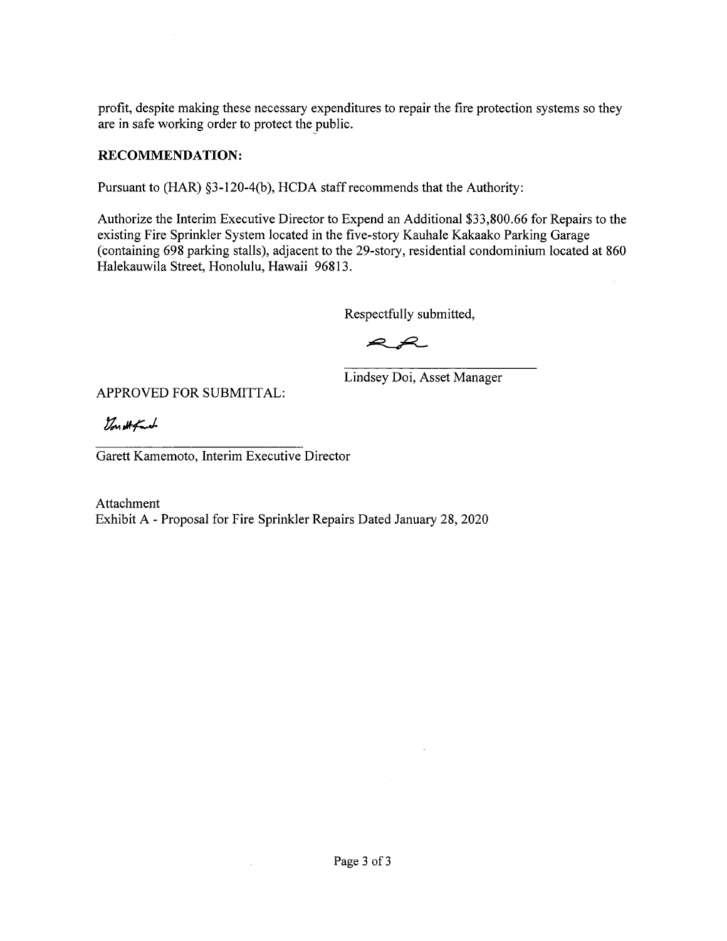profit, despite making these necessary expenditures to repair the fire protection systems so they are in safe working order to protect the public.

### **RECOMMENDATION:**

Pursuant to (HAR) §3-120-4(b), HCDA staff recommends that the Authority:

Authorize the Interim Executive Director to Expend an Additional \$33,800.66 for Repairs to the existing Fire Sprinkler System located in the five-story Kauhale Kakaako Parking Garage (containing 698 parking stalls), adjacent to the 29-story, residential condominium located at 860 Halekauwila Street, Honolulu, Hawaii 96813.

Respectfully submitted,

 $\blacktriangleright$  $\mathcal{L}$ 

Lindsey Doi, Asset Manager

APPROVED FOR SUBMITTAL:

Von Atfaunt

Garett Kamemoto, Interim Executive Director

 $\sim$ 

Attachment Exhibit A - Proposal for Fire Sprinkler Repairs Dated January 28, 2020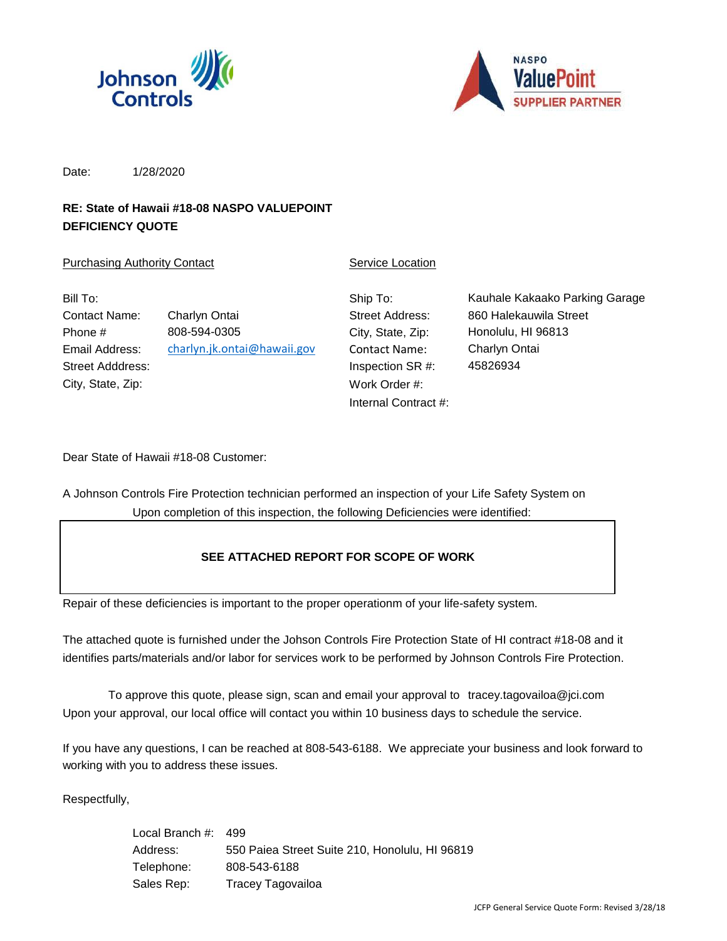



Date: 1/28/2020

# **RE: State of Hawaii #18-08 NASPO VALUEPOINT DEFICIENCY QUOTE**

### **Purchasing Authority Contact Contact Contact Contact Contact Contact Contact Contact Contact Contact Contact Contact Contact Contact Contact Contact Contact Contact Contact Contact Contact Contact Contact Contact Contact**

| Bill To:          |                             |
|-------------------|-----------------------------|
| Contact Name:     | Charlyn Ontai               |
| Phone #           | 808-594-0305                |
| Email Address:    | charlyn.jk.ontai@hawaii.gov |
| Street Adddress:  |                             |
| City, State, Zip: |                             |

Ship To: City, State, Zip: Contact Name: Inspection SR #: Work Order #: Internal Contract #:

Street Address: 860 Halekauwila Street Kauhale Kakaako Parking Garage Honolulu, HI 96813 Charlyn Ontai 45826934

Dear State of Hawaii #18-08 Customer:

A Johnson Controls Fire Protection technician performed an inspection of your Life Safety System on Upon completion of this inspection, the following Deficiencies were identified:

### **SEE ATTACHED REPORT FOR SCOPE OF WORK**

Repair of these deficiencies is important to the proper operationm of your life-safety system.

The attached quote is furnished under the Johson Controls Fire Protection State of HI contract #18-08 and it identifies parts/materials and/or labor for services work to be performed by Johnson Controls Fire Protection.

Upon your approval, our local office will contact you within 10 business days to schedule the service. To approve this quote, please sign, scan and email your approval to tracey.tagovailoa@jci.com

If you have any questions, I can be reached at 808-543-6188. We appreciate your business and look forward to working with you to address these issues.

Respectfully,

| Local Branch #: | -499                                           |
|-----------------|------------------------------------------------|
| Address:        | 550 Paiea Street Suite 210, Honolulu, HI 96819 |
| Telephone:      | 808-543-6188                                   |
| Sales Rep:      | Tracey Tagovailoa                              |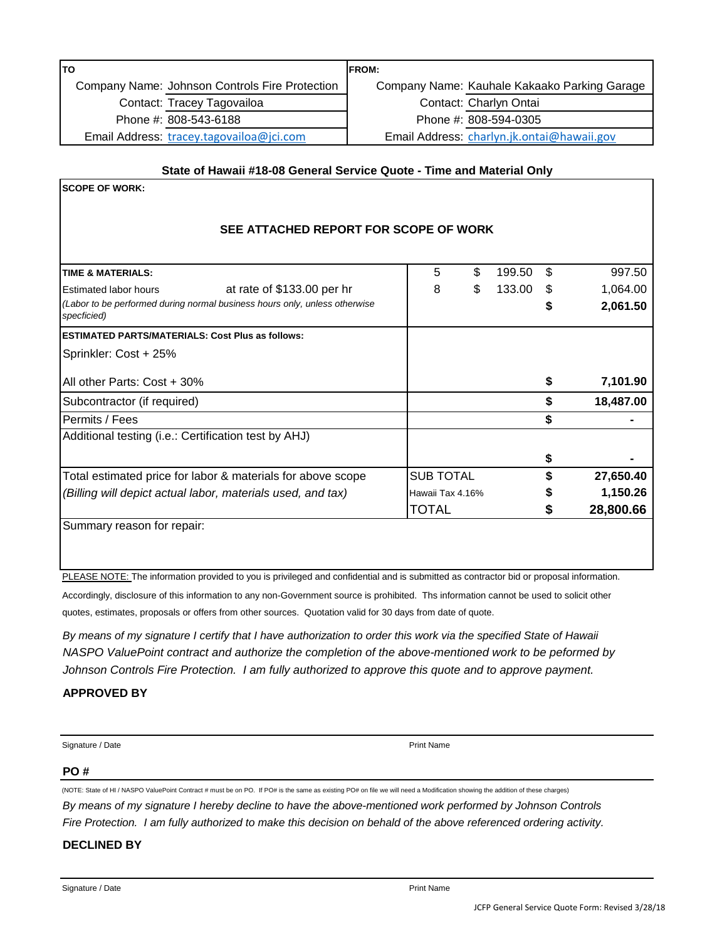| lTO                                                                   | <b>IFROM:</b> |                                              |  |  |  |
|-----------------------------------------------------------------------|---------------|----------------------------------------------|--|--|--|
| Company Name: Johnson Controls Fire Protection                        |               | Company Name: Kauhale Kakaako Parking Garage |  |  |  |
| Contact: Tracey Tagovailoa                                            |               | Contact: Charlyn Ontai                       |  |  |  |
| Phone #: 808-543-6188                                                 |               | Phone #: 808-594-0305                        |  |  |  |
| Email Address: tracey.tagovailoa@jci.com                              |               | Email Address: charlyn.jk.ontai@hawaii.gov   |  |  |  |
| State of Hawaii #18-08 General Service Quote - Time and Material Only |               |                                              |  |  |  |
| <b>ISCOPE OF WORK:</b>                                                |               |                                              |  |  |  |
|                                                                       |               |                                              |  |  |  |

### **SEE ATTACHED REPORT FOR SCOPE OF WORK**

| <b>TIME &amp; MATERIALS:</b>                                                              | 5                | \$<br>199.50 | \$. | 997.50    |
|-------------------------------------------------------------------------------------------|------------------|--------------|-----|-----------|
| at rate of \$133.00 per hr<br><b>Estimated labor hours</b>                                | 8                | \$<br>133.00 | \$. | 1,064.00  |
| (Labor to be performed during normal business hours only, unless otherwise<br>specficied) |                  |              |     | 2,061.50  |
| <b>ESTIMATED PARTS/MATERIALS: Cost Plus as follows:</b>                                   |                  |              |     |           |
| Sprinkler: Cost + 25%                                                                     |                  |              |     |           |
| All other Parts: Cost + 30%                                                               |                  |              | \$  | 7,101.90  |
| Subcontractor (if required)                                                               |                  |              |     | 18,487.00 |
| Permits / Fees                                                                            |                  |              | S   |           |
| Additional testing (i.e.: Certification test by AHJ)                                      |                  |              |     |           |
|                                                                                           |                  |              | S   |           |
| Total estimated price for labor & materials for above scope                               | <b>SUB TOTAL</b> |              |     | 27,650.40 |
| (Billing will depict actual labor, materials used, and tax)                               | Hawaii Tax 4.16% |              |     | 1,150.26  |
|                                                                                           | TOTAL            |              |     | 28,800.66 |
| Summary reason for repair:                                                                |                  |              |     |           |

PLEASE NOTE: The information provided to you is privileged and confidential and is submitted as contractor bid or proposal information.

Accordingly, disclosure of this information to any non-Government source is prohibited. Ths information cannot be used to solicit other quotes, estimates, proposals or offers from other sources. Quotation valid for 30 days from date of quote.

*By means of my signature I certify that I have authorization to order this work via the specified State of Hawaii NASPO ValuePoint contract and authorize the completion of the above-mentioned work to be peformed by Johnson Controls Fire Protection. I am fully authorized to approve this quote and to approve payment.*

### **APPROVED BY**

| Signature / Date | <b>Print Name</b> |
|------------------|-------------------|
|                  |                   |

### **PO #**

(NOTE: State of HI / NASPO ValuePoint Contract # must be on PO. If PO# is the same as existing PO# on file we will need a Modification showing the addition of these charges) *By means of my signature I hereby decline to have the above-mentioned work performed by Johnson Controls Fire Protection. I am fully authorized to make this decision on behald of the above referenced ordering activity.*

### **DECLINED BY**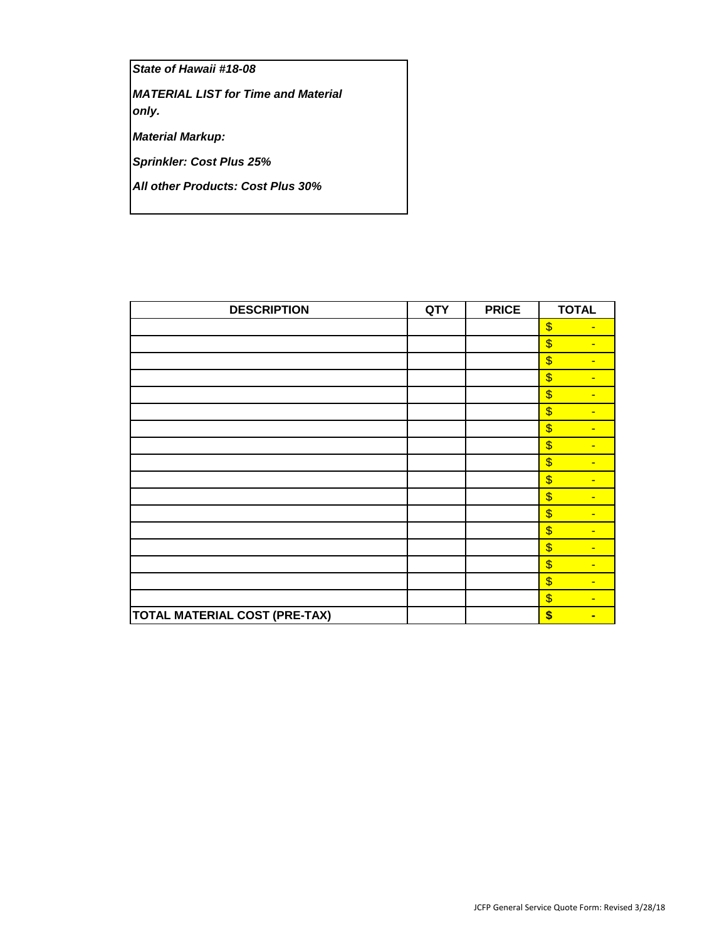*State of Hawaii #18-08*

*MATERIAL LIST for Time and Material only.*

*Material Markup:*

*Sprinkler: Cost Plus 25%*

*All other Products: Cost Plus 30%*

| <b>DESCRIPTION</b>                   | <b>QTY</b> | <b>PRICE</b> | <b>TOTAL</b>                               |
|--------------------------------------|------------|--------------|--------------------------------------------|
|                                      |            |              | \$<br>$\blacksquare$                       |
|                                      |            |              | \$<br>٠                                    |
|                                      |            |              | \$<br>٠                                    |
|                                      |            |              | $\sqrt[6]{\frac{1}{2}}$<br>$\blacksquare$  |
|                                      |            |              | \$<br>٠                                    |
|                                      |            |              | $\overline{\mathcal{S}}$<br>$\blacksquare$ |
|                                      |            |              | \$<br>٠                                    |
|                                      |            |              | \$<br>$\blacksquare$                       |
|                                      |            |              | \$<br>$\blacksquare$                       |
|                                      |            |              | \$<br>$\blacksquare$                       |
|                                      |            |              | \$<br>٠                                    |
|                                      |            |              | \$<br>÷                                    |
|                                      |            |              | \$<br>٠                                    |
|                                      |            |              | \$<br>$\blacksquare$                       |
|                                      |            |              | \$<br>$\blacksquare$                       |
|                                      |            |              | \$<br>$\blacksquare$                       |
|                                      |            |              | \$<br>$\blacksquare$                       |
| <b>TOTAL MATERIAL COST (PRE-TAX)</b> |            |              | \$<br>▬                                    |